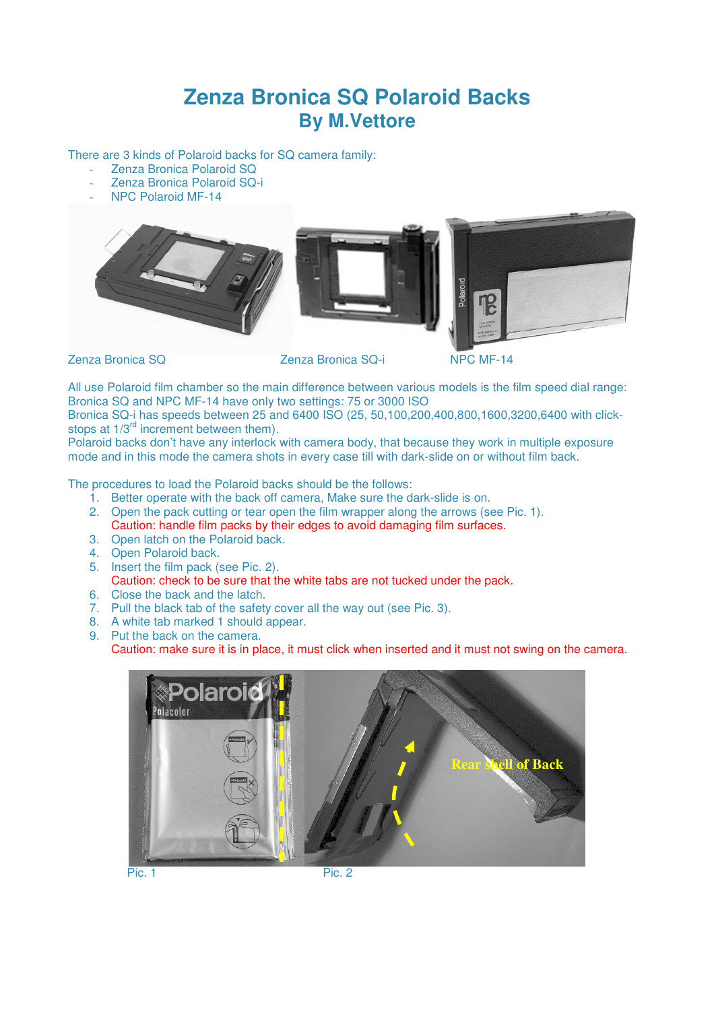## **Zenza Bronica SQ Polaroid Backs By M.Vettore**

There are 3 kinds of Polaroid backs for SQ camera family:

- Zenza Bronica Polaroid SQ
- Zenza Bronica Polaroid SQ-i
- NPC Polaroid MF-14







Zenza Bronica SQ Zenza Bronica SQ-i NPC MF-14

All use Polaroid film chamber so the main difference between various models is the film speed dial range: Bronica SQ and NPC MF-14 have only two settings: 75 or 3000 ISO

Bronica SQ-i has speeds between 25 and 6400 ISO (25, 50,100,200,400,800,1600,3200,6400 with clickstops at  $1/3^{rd}$  increment between them).

Polaroid backs don't have any interlock with camera body, that because they work in multiple exposure mode and in this mode the camera shots in every case till with dark-slide on or without film back.

The procedures to load the Polaroid backs should be the follows:

- 1. Better operate with the back off camera, Make sure the dark-slide is on.
- 2. Open the pack cutting or tear open the film wrapper along the arrows (see Pic. 1).
- Caution: handle film packs by their edges to avoid damaging film surfaces.
- 3. Open latch on the Polaroid back.
- 4. Open Polaroid back.
- 5. Insert the film pack (see Pic. 2). Caution: check to be sure that the white tabs are not tucked under the pack.
- 6. Close the back and the latch.
- 7. Pull the black tab of the safety cover all the way out (see Pic. 3).
- 8. A white tab marked 1 should appear.
- 9. Put the back on the camera.

Caution: make sure it is in place, it must click when inserted and it must not swing on the camera.



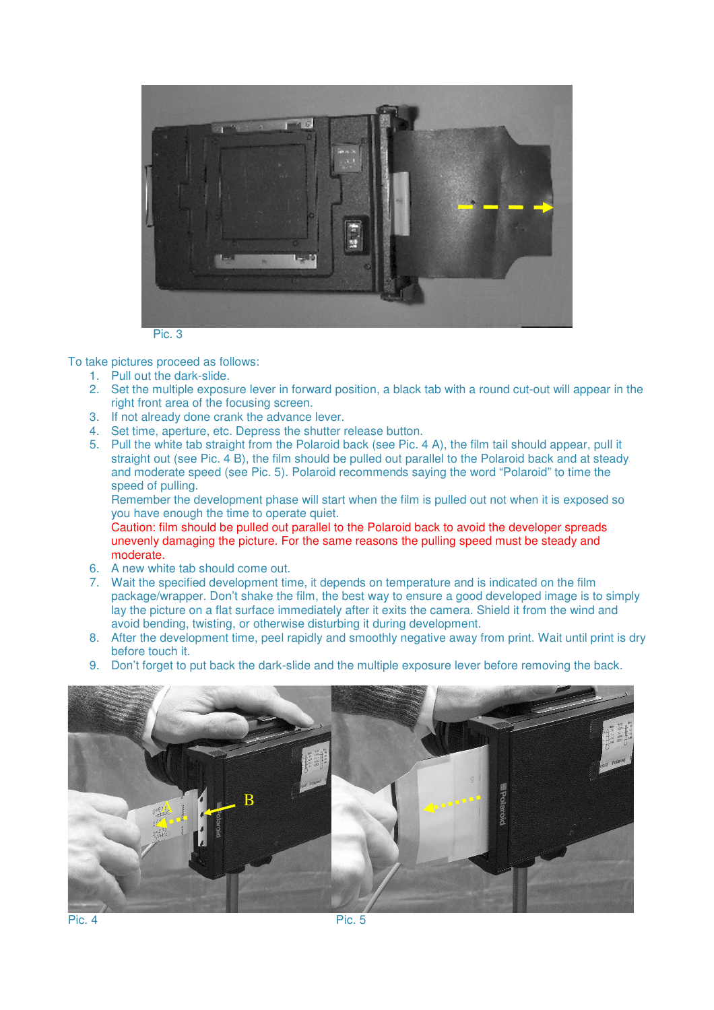

Pic. 3

To take pictures proceed as follows:

- 1. Pull out the dark-slide.
- 2. Set the multiple exposure lever in forward position, a black tab with a round cut-out will appear in the right front area of the focusing screen.
- 3. If not already done crank the advance lever.
- 4. Set time, aperture, etc. Depress the shutter release button.
- 5. Pull the white tab straight from the Polaroid back (see Pic. 4 A), the film tail should appear, pull it straight out (see Pic. 4 B), the film should be pulled out parallel to the Polaroid back and at steady and moderate speed (see Pic. 5). Polaroid recommends saying the word "Polaroid" to time the speed of pulling.

Remember the development phase will start when the film is pulled out not when it is exposed so you have enough the time to operate quiet.

Caution: film should be pulled out parallel to the Polaroid back to avoid the developer spreads unevenly damaging the picture. For the same reasons the pulling speed must be steady and moderate.

- 6. A new white tab should come out.
- 7. Wait the specified development time, it depends on temperature and is indicated on the film package/wrapper. Don't shake the film, the best way to ensure a good developed image is to simply lay the picture on a flat surface immediately after it exits the camera. Shield it from the wind and avoid bending, twisting, or otherwise disturbing it during development.
- 8. After the development time, peel rapidly and smoothly negative away from print. Wait until print is dry before touch it.
- 9. Don't forget to put back the dark-slide and the multiple exposure lever before removing the back.

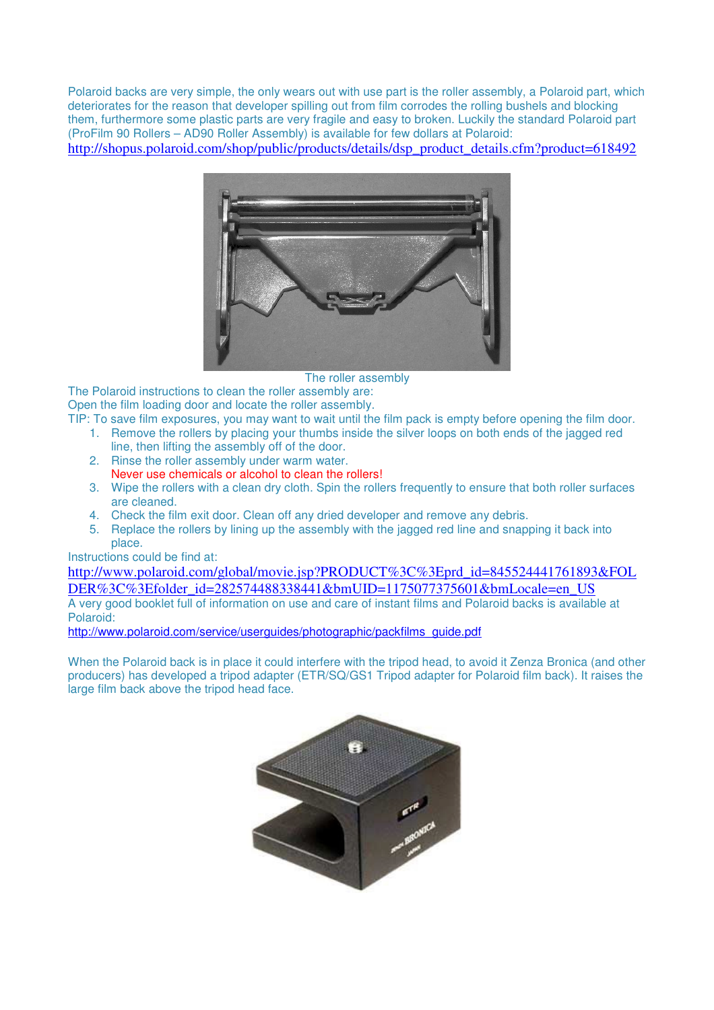Polaroid backs are very simple, the only wears out with use part is the roller assembly, a Polaroid part, which deteriorates for the reason that developer spilling out from film corrodes the rolling bushels and blocking them, furthermore some plastic parts are very fragile and easy to broken. Luckily the standard Polaroid part (ProFilm 90 Rollers – AD90 Roller Assembly) is available for few dollars at Polaroid:

http://shopus.polaroid.com/shop/public/products/details/dsp\_product\_details.cfm?product=618492



The roller assembly

The Polaroid instructions to clean the roller assembly are: Open the film loading door and locate the roller assembly.

- TIP: To save film exposures, you may want to wait until the film pack is empty before opening the film door. 1. Remove the rollers by placing your thumbs inside the silver loops on both ends of the jagged red
	- line, then lifting the assembly off of the door.
	- 2. Rinse the roller assembly under warm water. Never use chemicals or alcohol to clean the rollers!
	- 3. Wipe the rollers with a clean dry cloth. Spin the rollers frequently to ensure that both roller surfaces are cleaned.
	- 4. Check the film exit door. Clean off any dried developer and remove any debris.
	- 5. Replace the rollers by lining up the assembly with the jagged red line and snapping it back into place.

Instructions could be find at:

http://www.polaroid.com/global/movie.jsp?PRODUCT%3C%3Eprd\_id=845524441761893&FOL DER%3C%3Efolder\_id=282574488338441&bmUID=1175077375601&bmLocale=en\_US A very good booklet full of information on use and care of instant films and Polaroid backs is available at Polaroid:

http://www.polaroid.com/service/userguides/photographic/packfilms\_guide.pdf

When the Polaroid back is in place it could interfere with the tripod head, to avoid it Zenza Bronica (and other producers) has developed a tripod adapter (ETR/SQ/GS1 Tripod adapter for Polaroid film back). It raises the large film back above the tripod head face.